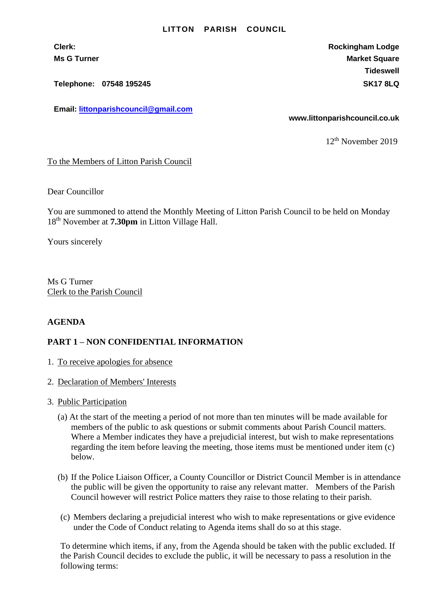## **LITTON PARISH COUNCIL**

**Telephone: 07548 195245 SK17 8LQ**

**Email: [littonparishcouncil@gmail.com](mailto:littonparishcouncil@gmail.com)**

**Clerk: Rockingham Lodge Ms G Turner Market Square** Market Square Market Square Market Square **Tideswell**

**www.littonparishcouncil.co.uk**

12 th November 2019

To the Members of Litton Parish Council

Dear Councillor

You are summoned to attend the Monthly Meeting of Litton Parish Council to be held on Monday 18th November at **7.30pm** in Litton Village Hall.

Yours sincerely

Ms G Turner Clerk to the Parish Council

## **AGENDA**

## **PART 1 – NON CONFIDENTIAL INFORMATION**

- 1. To receive apologies for absence
- 2. Declaration of Members' Interests
- 3. Public Participation
	- (a) At the start of the meeting a period of not more than ten minutes will be made available for members of the public to ask questions or submit comments about Parish Council matters. Where a Member indicates they have a prejudicial interest, but wish to make representations regarding the item before leaving the meeting, those items must be mentioned under item (c) below.
	- (b) If the Police Liaison Officer, a County Councillor or District Council Member is in attendance the public will be given the opportunity to raise any relevant matter. Members of the Parish Council however will restrict Police matters they raise to those relating to their parish.
	- (c) Members declaring a prejudicial interest who wish to make representations or give evidence under the Code of Conduct relating to Agenda items shall do so at this stage.

To determine which items, if any, from the Agenda should be taken with the public excluded. If the Parish Council decides to exclude the public, it will be necessary to pass a resolution in the following terms: